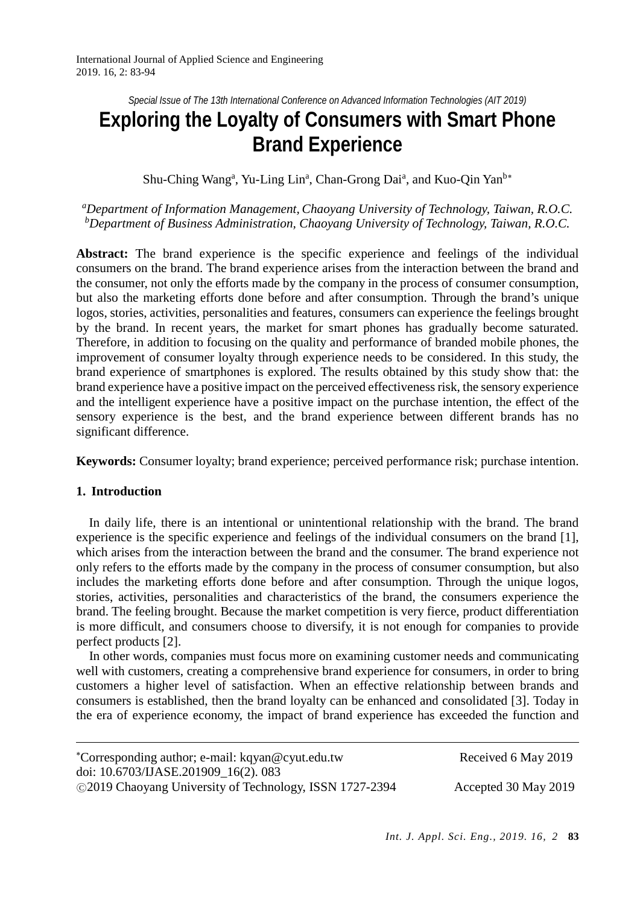*Special Issue of The 13th International Conference on Advanced Information Technologies (AIT 2019)*

# **Exploring the Loyalty of Consumers with Smart Phone Brand Experience**

Shu-Ching Wang<sup>a</sup>, Yu-Ling Lin<sup>a</sup>, Chan-Grong Dai<sup>a</sup>, and Kuo-Qin Yan<sup>b\*</sup>

*a Department of Information Management, Chaoyang University of Technology, Taiwan, R.O.C. b Department of Business Administration, Chaoyang University of Technology, Taiwan, R.O.C.*

**Abstract:** The brand experience is the specific experience and feelings of the individual consumers on the brand. The brand experience arises from the interaction between the brand and the consumer, not only the efforts made by the company in the process of consumer consumption, but also the marketing efforts done before and after consumption. Through the brand's unique logos, stories, activities, personalities and features, consumers can experience the feelings brought by the brand. In recent years, the market for smart phones has gradually become saturated. Therefore, in addition to focusing on the quality and performance of branded mobile phones, the improvement of consumer loyalty through experience needs to be considered. In this study, the brand experience of smartphones is explored. The results obtained by this study show that: the brand experience have a positive impact on the perceived effectiveness risk, the sensory experience and the intelligent experience have a positive impact on the purchase intention, the effect of the sensory experience is the best, and the brand experience between different brands has no significant difference.

**Keywords:** Consumer loyalty; brand experience; perceived performance risk; purchase intention.

# **1. Introduction**

In daily life, there is an intentional or unintentional relationship with the brand. The brand experience is the specific experience and feelings of the individual consumers on the brand [1], which arises from the interaction between the brand and the consumer. The brand experience not only refers to the efforts made by the company in the process of consumer consumption, but also includes the marketing efforts done before and after consumption. Through the unique logos, stories, activities, personalities and characteristics of the brand, the consumers experience the brand. The feeling brought. Because the market competition is very fierce, product differentiation is more difficult, and consumers choose to diversify, it is not enough for companies to provide perfect products [2].

 In other words, companies must focus more on examining customer needs and communicating well with customers, creating a comprehensive brand experience for consumers, in order to bring customers a higher level of satisfaction. When an effective relationship between brands and consumers is established, then the brand loyalty can be enhanced and consolidated [3]. Today in the era of experience economy, the impact of brand experience has exceeded the function and

<span id="page-0-0"></span>

| *Corresponding author; e-mail: kqyan@cyut.edu.tw        | Received 6 May 2019  |
|---------------------------------------------------------|----------------------|
| doi: 10.6703/IJASE.201909_16(2). 083                    |                      |
| ©2019 Chaoyang University of Technology, ISSN 1727-2394 | Accepted 30 May 2019 |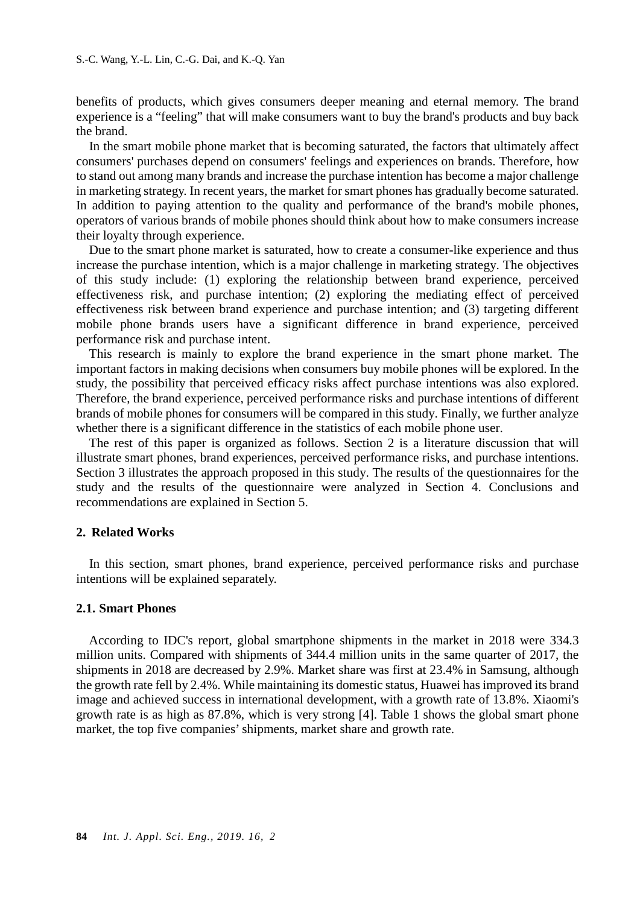benefits of products, which gives consumers deeper meaning and eternal memory. The brand experience is a "feeling" that will make consumers want to buy the brand's products and buy back the brand.

 In the smart mobile phone market that is becoming saturated, the factors that ultimately affect consumers' purchases depend on consumers' feelings and experiences on brands. Therefore, how to stand out among many brands and increase the purchase intention has become a major challenge in marketing strategy. In recent years, the market for smart phones has gradually become saturated. In addition to paying attention to the quality and performance of the brand's mobile phones, operators of various brands of mobile phones should think about how to make consumers increase their loyalty through experience.

 Due to the smart phone market is saturated, how to create a consumer-like experience and thus increase the purchase intention, which is a major challenge in marketing strategy. The objectives of this study include: (1) exploring the relationship between brand experience, perceived effectiveness risk, and purchase intention; (2) exploring the mediating effect of perceived effectiveness risk between brand experience and purchase intention; and (3) targeting different mobile phone brands users have a significant difference in brand experience, perceived performance risk and purchase intent.

 This research is mainly to explore the brand experience in the smart phone market. The important factors in making decisions when consumers buy mobile phones will be explored. In the study, the possibility that perceived efficacy risks affect purchase intentions was also explored. Therefore, the brand experience, perceived performance risks and purchase intentions of different brands of mobile phones for consumers will be compared in this study. Finally, we further analyze whether there is a significant difference in the statistics of each mobile phone user.

 The rest of this paper is organized as follows. Section 2 is a literature discussion that will illustrate smart phones, brand experiences, perceived performance risks, and purchase intentions. Section 3 illustrates the approach proposed in this study. The results of the questionnaires for the study and the results of the questionnaire were analyzed in Section 4. Conclusions and recommendations are explained in Section 5.

## **2. Related Works**

 In this section, smart phones, brand experience, perceived performance risks and purchase intentions will be explained separately.

#### **2.1. Smart Phones**

 According to IDC's report, global smartphone shipments in the market in 2018 were 334.3 million units. Compared with shipments of 344.4 million units in the same quarter of 2017, the shipments in 2018 are decreased by 2.9%. Market share was first at 23.4% in Samsung, although the growth rate fell by 2.4%. While maintaining its domestic status, Huawei has improved its brand image and achieved success in international development, with a growth rate of 13.8%. Xiaomi's growth rate is as high as 87.8%, which is very strong [4]. Table 1 shows the global smart phone market, the top five companies'shipments, market share and growth rate.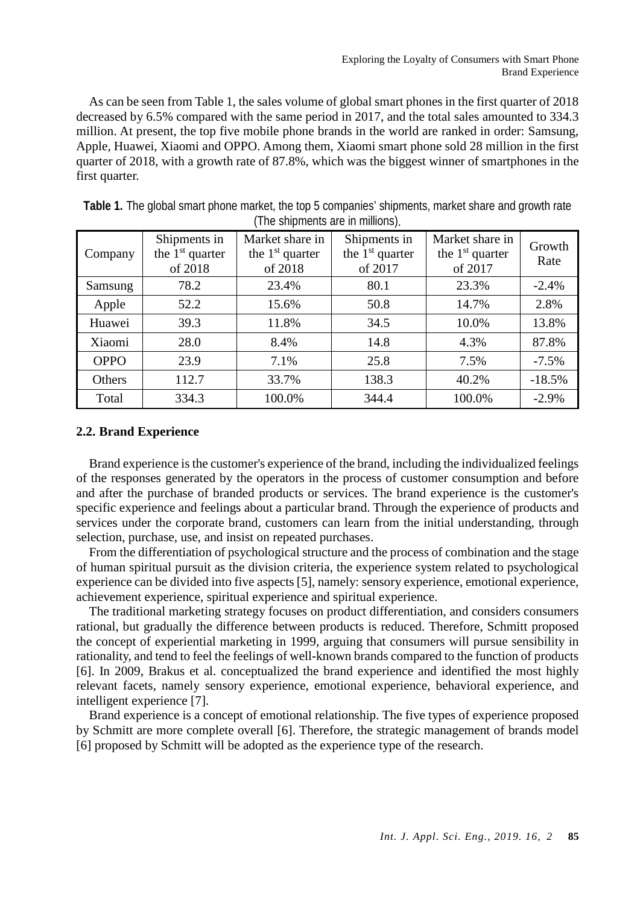As can be seen from Table 1, the sales volume of global smart phones in the first quarter of 2018 decreased by 6.5% compared with the same period in 2017, and the total sales amounted to 334.3 million. At present, the top five mobile phone brands in the world are ranked in order: Samsung, Apple, Huawei, Xiaomi and OPPO. Among them, Xiaomi smart phone sold 28 million in the first quarter of 2018, with a growth rate of 87.8%, which was the biggest winner of smartphones in the first quarter.

|             | Shipments in      | Market share in   | Shipments in      | Market share in   | Growth   |
|-------------|-------------------|-------------------|-------------------|-------------------|----------|
| Company     | the $1st$ quarter | the $1st$ quarter | the $1st$ quarter | the $1st$ quarter |          |
|             | of 2018           | of 2018           | of 2017           | of 2017           | Rate     |
| Samsung     | 78.2              | 23.4%             | 80.1              | 23.3%             | $-2.4%$  |
| Apple       | 52.2              | 15.6%             | 50.8              | 14.7%             | 2.8%     |
| Huawei      | 39.3              | 11.8%             | 34.5              | 10.0%             | 13.8%    |
| Xiaomi      | 28.0              | 8.4%              | 14.8              | 4.3%              | 87.8%    |
| <b>OPPO</b> | 23.9              | 7.1%              | 25.8              | 7.5%              | $-7.5%$  |
| Others      | 112.7             | 33.7%             | 138.3             | 40.2%             | $-18.5%$ |
| Total       | 334.3             | 100.0%            | 344.4             | 100.0%            | $-2.9%$  |

**Table 1.** The global smart phone market, the top 5 companies' shipments, market share and growth rate (The shipments are in millions).

# **2.2. Brand Experience**

 Brand experience is the customer's experience of the brand, including the individualized feelings of the responses generated by the operators in the process of customer consumption and before and after the purchase of branded products or services. The brand experience is the customer's specific experience and feelings about a particular brand. Through the experience of products and services under the corporate brand, customers can learn from the initial understanding, through selection, purchase, use, and insist on repeated purchases.

 From the differentiation of psychological structure and the process of combination and the stage of human spiritual pursuit as the division criteria, the experience system related to psychological experience can be divided into five aspects [5], namely: sensory experience, emotional experience, achievement experience, spiritual experience and spiritual experience.

 The traditional marketing strategy focuses on product differentiation, and considers consumers rational, but gradually the difference between products is reduced. Therefore, Schmitt proposed the concept of experiential marketing in 1999, arguing that consumers will pursue sensibility in rationality, and tend to feel the feelings of well-known brands compared to the function of products [6]. In 2009, Brakus et al. conceptualized the brand experience and identified the most highly relevant facets, namely sensory experience, emotional experience, behavioral experience, and intelligent experience [7].

 Brand experience is a concept of emotional relationship. The five types of experience proposed by Schmitt are more complete overall [6]. Therefore, the strategic management of brands model [6] proposed by Schmitt will be adopted as the experience type of the research.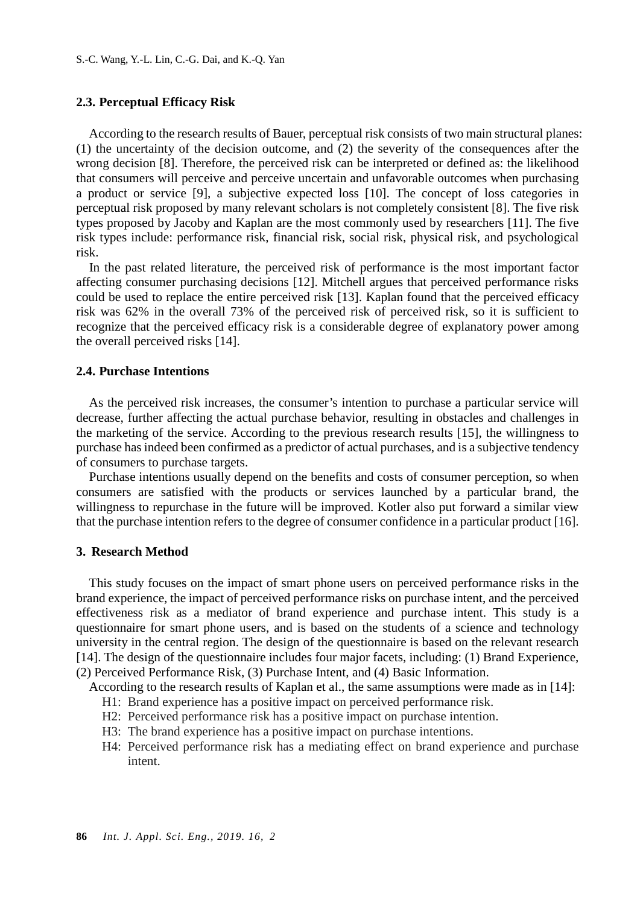## **2.3. Perceptual Efficacy Risk**

According to the research results of Bauer, perceptual risk consists of two main structural planes: (1) the uncertainty of the decision outcome, and (2) the severity of the consequences after the wrong decision [8]. Therefore, the perceived risk can be interpreted or defined as: the likelihood that consumers will perceive and perceive uncertain and unfavorable outcomes when purchasing a product or service [9], a subjective expected loss [10]. The concept of loss categories in perceptual risk proposed by many relevant scholars is not completely consistent [8]. The five risk types proposed by Jacoby and Kaplan are the most commonly used by researchers [11]. The five risk types include: performance risk, financial risk, social risk, physical risk, and psychological risk.

 In the past related literature, the perceived risk of performance is the most important factor affecting consumer purchasing decisions [12]. Mitchell argues that perceived performance risks could be used to replace the entire perceived risk [13]. Kaplan found that the perceived efficacy risk was 62% in the overall 73% of the perceived risk of perceived risk, so it is sufficient to recognize that the perceived efficacy risk is a considerable degree of explanatory power among the overall perceived risks [14].

#### **2.4. Purchase Intentions**

As the perceived risk increases, the consumer's intention to purchase a particular service will decrease, further affecting the actual purchase behavior, resulting in obstacles and challenges in the marketing of the service. According to the previous research results [15], the willingness to purchase has indeed been confirmed as a predictor of actual purchases, and is a subjective tendency of consumers to purchase targets.

 Purchase intentions usually depend on the benefits and costs of consumer perception, so when consumers are satisfied with the products or services launched by a particular brand, the willingness to repurchase in the future will be improved. Kotler also put forward a similar view that the purchase intention refers to the degree of consumer confidence in a particular product [16].

#### **3. Research Method**

 This study focuses on the impact of smart phone users on perceived performance risks in the brand experience, the impact of perceived performance risks on purchase intent, and the perceived effectiveness risk as a mediator of brand experience and purchase intent. This study is a questionnaire for smart phone users, and is based on the students of a science and technology university in the central region. The design of the questionnaire is based on the relevant research [14]. The design of the questionnaire includes four major facets, including: (1) Brand Experience, (2) Perceived Performance Risk, (3) Purchase Intent, and (4) Basic Information.

According to the research results of Kaplan et al., the same assumptions were made as in [14]:

- H1: Brand experience has a positive impact on perceived performance risk.
- H2: Perceived performance risk has a positive impact on purchase intention.
- H3: The brand experience has a positive impact on purchase intentions.
- H4: Perceived performance risk has a mediating effect on brand experience and purchase intent.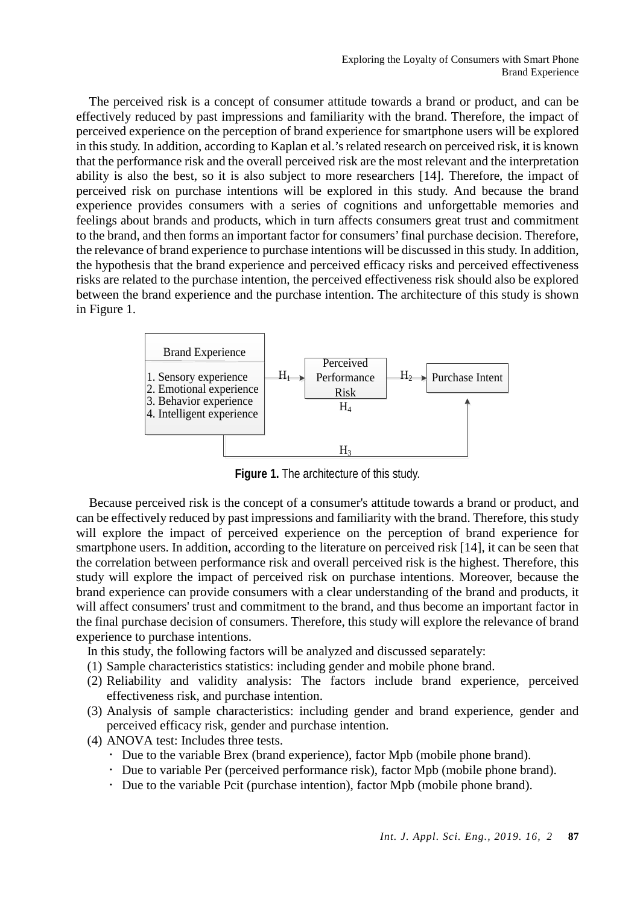The perceived risk is a concept of consumer attitude towards a brand or product, and can be effectively reduced by past impressions and familiarity with the brand. Therefore, the impact of perceived experience on the perception of brand experience for smartphone users will be explored in this study. In addition, according to Kaplan et al.'s related research on perceived risk, it is known that the performance risk and the overall perceived risk are the most relevant and the interpretation ability is also the best, so it is also subject to more researchers [14]. Therefore, the impact of perceived risk on purchase intentions will be explored in this study. And because the brand experience provides consumers with a series of cognitions and unforgettable memories and feelings about brands and products, which in turn affects consumers great trust and commitment to the brand, and then forms an important factor for consumers' final purchase decision. Therefore, the relevance of brand experience to purchase intentions will be discussed in this study. In addition, the hypothesis that the brand experience and perceived efficacy risks and perceived effectiveness risks are related to the purchase intention, the perceived effectiveness risk should also be explored between the brand experience and the purchase intention. The architecture of this study is shown in Figure 1.



**Figure 1.** The architecture of this study.

 Because perceived risk is the concept of a consumer's attitude towards a brand or product, and can be effectively reduced by past impressions and familiarity with the brand. Therefore, this study will explore the impact of perceived experience on the perception of brand experience for smartphone users. In addition, according to the literature on perceived risk [14], it can be seen that the correlation between performance risk and overall perceived risk is the highest. Therefore, this study will explore the impact of perceived risk on purchase intentions. Moreover, because the brand experience can provide consumers with a clear understanding of the brand and products, it will affect consumers' trust and commitment to the brand, and thus become an important factor in the final purchase decision of consumers. Therefore, this study will explore the relevance of brand experience to purchase intentions.

In this study, the following factors will be analyzed and discussed separately:

- (1) Sample characteristics statistics: including gender and mobile phone brand.
- (2) Reliability and validity analysis: The factors include brand experience, perceived effectiveness risk, and purchase intention.
- (3) Analysis of sample characteristics: including gender and brand experience, gender and perceived efficacy risk, gender and purchase intention.
- (4) ANOVA test: Includes three tests.
	- Due to the variable Brex (brand experience), factor Mpb (mobile phone brand).
	- Due to variable Per (perceived performance risk), factor Mpb (mobile phone brand).
	- Due to the variable Pcit (purchase intention), factor Mpb (mobile phone brand).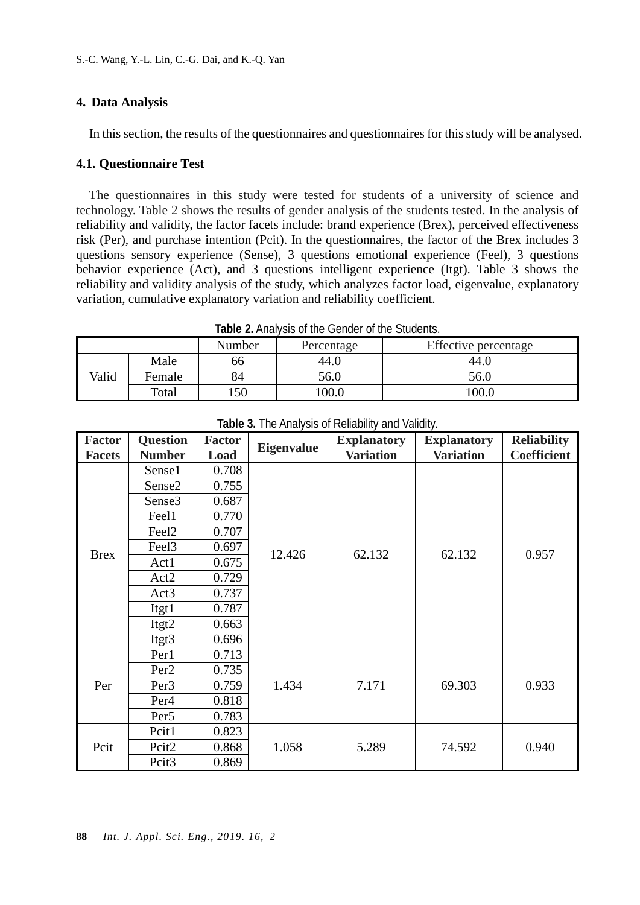## **4. Data Analysis**

In this section, the results of the questionnaires and questionnaires for this study will be analysed.

## **4.1. Questionnaire Test**

 The questionnaires in this study were tested for students of a university of science and technology. Table 2 shows the results of gender analysis of the students tested. In the analysis of reliability and validity, the factor facets include: brand experience (Brex), perceived effectiveness risk (Per), and purchase intention (Pcit). In the questionnaires, the factor of the Brex includes 3 questions sensory experience (Sense), 3 questions emotional experience (Feel), 3 questions behavior experience (Act), and 3 questions intelligent experience (Itgt). Table 3 shows the reliability and validity analysis of the study, which analyzes factor load, eigenvalue, explanatory variation, cumulative explanatory variation and reliability coefficient.

|       | <b>Table 2.</b> Allary 313 OF the Octiver of the Otagents. |        |            |                      |  |  |  |  |  |  |  |
|-------|------------------------------------------------------------|--------|------------|----------------------|--|--|--|--|--|--|--|
|       |                                                            | Number | Percentage | Effective percentage |  |  |  |  |  |  |  |
|       | Male                                                       | 66     | 44.0       | 44.0                 |  |  |  |  |  |  |  |
| Valid | Female                                                     | 84     | 56.0       | 56.0                 |  |  |  |  |  |  |  |
|       | Total                                                      | 50     | 100.0      | 100.0                |  |  |  |  |  |  |  |

**Table 2.** Analysis of the Gender of the Students.

| <b>Factor</b> | <b>Question</b>    | <b>Factor</b> | <b>Eigenvalue</b> | <b>Explanatory</b> | <b>Explanatory</b> | <b>Reliability</b> |  |
|---------------|--------------------|---------------|-------------------|--------------------|--------------------|--------------------|--|
| <b>Facets</b> | <b>Number</b>      | Load          |                   | <b>Variation</b>   | <b>Variation</b>   | <b>Coefficient</b> |  |
|               | Sense1             | 0.708         |                   |                    |                    |                    |  |
|               | Sense2             | 0.755         |                   |                    |                    |                    |  |
|               | Sense <sub>3</sub> | 0.687         |                   |                    |                    |                    |  |
|               | Feel1              | 0.770         |                   |                    |                    |                    |  |
|               | Feel <sub>2</sub>  | 0.707         |                   |                    |                    |                    |  |
| <b>Brex</b>   | Feel <sub>3</sub>  | 0.697         | 12.426            | 62.132             | 62.132             | 0.957              |  |
|               | Act1               | 0.675         |                   |                    |                    |                    |  |
|               | Act2               | 0.729         |                   |                    |                    |                    |  |
|               | Act3               | 0.737         |                   |                    |                    |                    |  |
|               | Itgt1              | 0.787         |                   |                    |                    |                    |  |
|               | Itgt2              | 0.663         |                   |                    |                    |                    |  |
|               | Itgt3              | 0.696         |                   |                    |                    |                    |  |
|               | Per1               | 0.713         |                   |                    |                    |                    |  |
|               | Per <sub>2</sub>   | 0.735         |                   |                    |                    |                    |  |
| Per           | Per <sub>3</sub>   | 0.759         | 1.434             | 7.171              | 69.303             | 0.933              |  |
|               | Per <sub>4</sub>   | 0.818         |                   |                    |                    |                    |  |
|               | Per <sub>5</sub>   | 0.783         |                   |                    |                    |                    |  |
|               | Pcit1              | 0.823         |                   |                    |                    |                    |  |
| Pcit          | Pcit2              | 0.868         | 1.058             | 5.289              | 74.592             | 0.940              |  |
|               | Pcit <sub>3</sub>  | 0.869         |                   |                    |                    |                    |  |

**Table 3.** The Analysis of Reliability and Validity.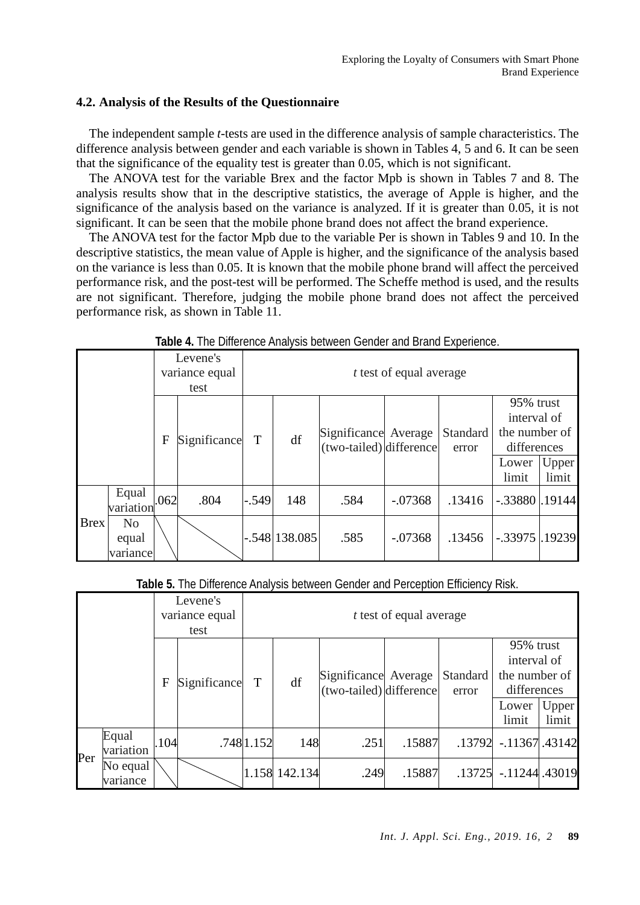# **4.2. Analysis of the Results of the Questionnaire**

 The independent sample *t*-tests are used in the difference analysis of sample characteristics. The difference analysis between gender and each variable is shown in Tables 4, 5 and 6. It can be seen that the significance of the equality test is greater than 0.05, which is not significant.

 The ANOVA test for the variable Brex and the factor Mpb is shown in Tables 7 and 8. The analysis results show that in the descriptive statistics, the average of Apple is higher, and the significance of the analysis based on the variance is analyzed. If it is greater than 0.05, it is not significant. It can be seen that the mobile phone brand does not affect the brand experience.

 The ANOVA test for the factor Mpb due to the variable Per is shown in Tables 9 and 10. In the descriptive statistics, the mean value of Apple is higher, and the significance of the analysis based on the variance is less than 0.05. It is known that the mobile phone brand will affect the perceived performance risk, and the post-test will be performed. The Scheffe method is used, and the results are not significant. Therefore, judging the mobile phone brand does not affect the perceived performance risk, as shown in Table 11.

|             |                                     |      | Levene's<br>variance equal<br>test |         | <i>t</i> test of equal average |                                                 |           |                   |                                                                            |                       |
|-------------|-------------------------------------|------|------------------------------------|---------|--------------------------------|-------------------------------------------------|-----------|-------------------|----------------------------------------------------------------------------|-----------------------|
|             |                                     | F    | Significance                       | T       | df                             | Significance Average<br>(two-tailed) difference |           | Standard<br>error | 95% trust<br>interval of<br>the number of<br>differences<br>Lower<br>limit | <b>Upper</b><br>limit |
|             | Equal<br>variation                  | .062 | .804                               | $-.549$ | 148                            | .584                                            | $-.07368$ | .13416            | $-.33880$ .19144                                                           |                       |
| <b>Brex</b> | N <sub>0</sub><br>equal<br>variance |      |                                    |         | $-.548$  138.085               | .585                                            | $-.07368$ | .13456            | $-.33975$ $.19239$                                                         |                       |

**Table 4.** The Difference Analysis between Gender and Brand Experience.

|  | Table 5. The Difference Analysis between Gender and Perception Efficiency Risk. |  |  |
|--|---------------------------------------------------------------------------------|--|--|
|  |                                                                                 |  |  |

|     |                      |      | Levene's<br>variance equal<br>test |             |               |                                                 | <i>t</i> test of equal average |                   |                                                                            |                |
|-----|----------------------|------|------------------------------------|-------------|---------------|-------------------------------------------------|--------------------------------|-------------------|----------------------------------------------------------------------------|----------------|
|     |                      | F    | Significance                       | $\mathbf T$ | df            | Significance Average<br>(two-tailed) difference |                                | Standard<br>error | 95% trust<br>interval of<br>the number of<br>differences<br>Lower<br>limit | Upper<br>limit |
|     | Equal<br>variation   | .104 |                                    | .7481.152   | 148           | .251                                            | .15887                         |                   | .13792 -.11367 .43142                                                      |                |
| Per | No equal<br>variance |      |                                    |             | 1.158 142.134 | .249                                            | .15887                         | .13725            | $-11244.43019$                                                             |                |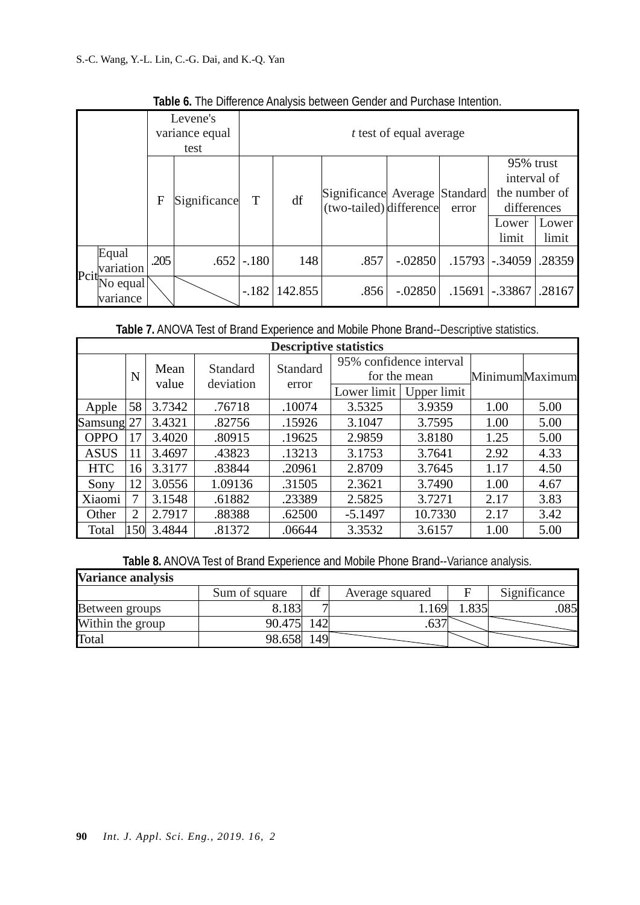| Levene's<br>variance equal<br>test |                      |      |              |         |         |                                                          | <i>t</i> test of equal average |        |                                                                            |                |
|------------------------------------|----------------------|------|--------------|---------|---------|----------------------------------------------------------|--------------------------------|--------|----------------------------------------------------------------------------|----------------|
|                                    |                      | F    | Significance | T       | df      | Significance Average Standard<br>(two-tailed) difference |                                | error  | 95% trust<br>interval of<br>the number of<br>differences<br>Lower<br>limit | Lower<br>limit |
| $P$ cit                            | Equal<br>variation   | .205 | .652         | $-.180$ | 148     | .857                                                     | $-.02850$                      |        | $.15793$ $-.34059$                                                         | .28359         |
|                                    | No equal<br>variance |      |              | $-.182$ | 142.855 | .856                                                     | $-.02850$                      | .15691 | $-.33867$                                                                  | .28167         |

**Table 6.** The Difference Analysis between Gender and Purchase Intention.

**Table 7.** ANOVA Test of Brand Experience and Mobile Phone Brand--Descriptive statistics.

| <b>Descriptive statistics</b> |      |        |                 |          |             |                                         |      |                |  |  |  |
|-------------------------------|------|--------|-----------------|----------|-------------|-----------------------------------------|------|----------------|--|--|--|
|                               | N    | Mean   | <b>Standard</b> | Standard |             | 95% confidence interval<br>for the mean |      | MinimumMaximum |  |  |  |
|                               |      | value  | deviation       | error    | Lower limit | Upper limit                             |      |                |  |  |  |
| Apple                         | 58   | 3.7342 | .76718          | .10074   | 3.5325      | 3.9359                                  | 1.00 | 5.00           |  |  |  |
| Samsung                       | 27   | 3.4321 | .82756          | .15926   | 3.1047      | 3.7595                                  | 1.00 | 5.00           |  |  |  |
| <b>OPPO</b>                   | 7    | 3.4020 | .80915          | .19625   | 2.9859      | 3.8180                                  | 1.25 | 5.00           |  |  |  |
| <b>ASUS</b>                   | 11   | 3.4697 | .43823          | .13213   | 3.1753      | 3.7641                                  | 2.92 | 4.33           |  |  |  |
| <b>HTC</b>                    | 16   | 3.3177 | .83844          | .20961   | 2.8709      | 3.7645                                  | 1.17 | 4.50           |  |  |  |
| Sony                          | 12   | 3.0556 | 1.09136         | .31505   | 2.3621      | 3.7490                                  | 1.00 | 4.67           |  |  |  |
| Xiaomi                        |      | 3.1548 | .61882          | .23389   | 2.5825      | 3.7271                                  | 2.17 | 3.83           |  |  |  |
| Other                         | 2    | 2.7917 | .88388          | .62500   | $-5.1497$   | 10.7330                                 | 2.17 | 3.42           |  |  |  |
| Total                         | l 50 | 3.4844 | .81372          | .06644   | 3.3532      | 3.6157                                  | 1.00 | 5.00           |  |  |  |

**Table 8.** ANOVA Test of Brand Experience and Mobile Phone Brand--Variance analysis.

J.

| <b>Variance analysis</b> |               |    |                 |              |
|--------------------------|---------------|----|-----------------|--------------|
|                          | Sum of square | df | Average squared | Significance |
| Between groups           | 8.183         |    | 169             | 085          |
| Within the group         | 90.475        | 42 |                 |              |
| Total                    | 98.658        | 49 |                 |              |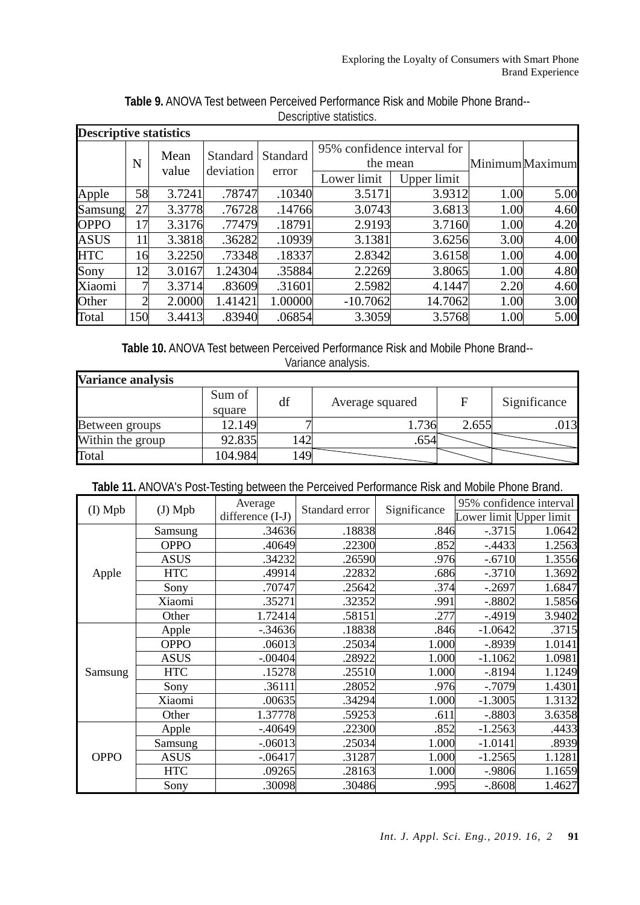| <b>Descriptive statistics</b> |     |        |           |                 |                             |         |      |                 |
|-------------------------------|-----|--------|-----------|-----------------|-----------------------------|---------|------|-----------------|
|                               |     | Mean   | Standard  | <b>Standard</b> | 95% confidence interval for |         |      |                 |
|                               | N   | value  | deviation |                 | the mean                    |         |      | Minimum Maximum |
|                               |     |        | error     | Lower limit     | Upper limit                 |         |      |                 |
| Apple                         | 58  | 3.7241 | .78747    | .10340          | 3.5171                      | 3.9312  | 1.00 | 5.00            |
| Samsung                       | 27  | 3.3778 | .76728    | .14766          | 3.0743                      | 3.6813  | 1.00 | 4.60            |
| <b>OPPO</b>                   | 17  | 3.3176 | .77479    | .18791          | 2.9193                      | 3.7160  | 1.00 | 4.20            |
| <b>ASUS</b>                   | 11  | 3.3818 | .36282    | .10939          | 3.1381                      | 3.6256  | 3.00 | 4.00            |
| <b>HTC</b>                    | 16  | 3.2250 | .73348    | .18337          | 2.8342                      | 3.6158  | 1.00 | 4.00            |
| Sony                          | 12  | 3.0167 | 1.24304   | .35884          | 2.2269                      | 3.8065  | 1.00 | 4.80            |
| Xiaomi                        | 7   | 3.3714 | .83609    | .31601          | 2.5982                      | 4.1447  | 2.20 | 4.60            |
| Other                         | ↑   | 2.0000 | 1.41421   | 1.00000         | $-10.7062$                  | 14.7062 | 1.00 | 3.00            |
| Total                         | 150 | 3.4413 | .83940    | .06854          | 3.3059                      | 3.5768  | 1.00 | 5.00            |

**Table 9.** ANOVA Test between Perceived Performance Risk and Mobile Phone Brand-- Descriptive statistics.

**Table 10.** ANOVA Test between Perceived Performance Risk and Mobile Phone Brand-- Variance analysis.

| <b>Variance analysis</b> |                  |     |                 |       |              |
|--------------------------|------------------|-----|-----------------|-------|--------------|
|                          | Sum of<br>square | df  | Average squared | F     | Significance |
| Between groups           | 12.149           |     | .736            | 2.655 | .013         |
| Within the group         | 92.835           | 42  | .654            |       |              |
| Total                    | 104.984          | 149 |                 |       |              |

|  | Table 11. ANOVA's Post-Testing between the Perceived Performance Risk and Mobile Phone Brand. |  |
|--|-----------------------------------------------------------------------------------------------|--|
|--|-----------------------------------------------------------------------------------------------|--|

| $(I)$ Mpb   | $(J)$ Mpb   | Average          | Standard error | Significance | 95% confidence interval |        |
|-------------|-------------|------------------|----------------|--------------|-------------------------|--------|
|             |             | difference (I-J) |                |              | Lower limit Upper limit |        |
|             | Samsung     | .34636           | .18838         | .846         | $-.3715$                | 1.0642 |
|             | <b>OPPO</b> | .40649           | .22300         | .852         | $-0.4433$               | 1.2563 |
|             | <b>ASUS</b> | .34232           | .26590         | .976         | $-.6710$                | 1.3556 |
| Apple       | <b>HTC</b>  | .49914           | .22832         | .686         | $-.3710$                | 1.3692 |
|             | Sony        | .70747           | .25642         | .374         | $-.2697$                | 1.6847 |
|             | Xiaomi      | .35271           | .32352         | .991         | $-.8802$                | 1.5856 |
|             | Other       | 1.72414          | .58151         | .277         | $-0.4919$               | 3.9402 |
|             | Apple       | $-0.34636$       | .18838         | .846         | $-1.0642$               | .3715  |
|             | <b>OPPO</b> | .06013           | .25034         | 1.000        | $-.8939$                | 1.0141 |
|             | <b>ASUS</b> | $-.00404$        | .28922         | 1.000        | $-1.1062$               | 1.0981 |
| Samsung     | <b>HTC</b>  | .15278           | .25510         | 1.000        | $-.8194$                | 1.1249 |
|             | Sony        | .36111           | .28052         | .976         | $-0.7079$               | 1.4301 |
|             | Xiaomi      | .00635           | .34294         | 1.000        | $-1.3005$               | 1.3132 |
|             | Other       | 1.37778          | .59253         | .611         | $-.8803$                | 3.6358 |
| <b>OPPO</b> | Apple       | $-40649$         | .22300         | .852         | $-1.2563$               | .4433  |
|             | Samsung     | $-.06013$        | .25034         | 1.000        | $-1.0141$               | .8939  |
|             | <b>ASUS</b> | $-.06417$        | .31287         | 1.000        | $-1.2565$               | 1.1281 |
|             | <b>HTC</b>  | .09265           | .28163         | 1.000        | $-.9806$                | 1.1659 |
|             | Sony        | .30098           | .30486         | .995         | $-.8608$                | 1.4627 |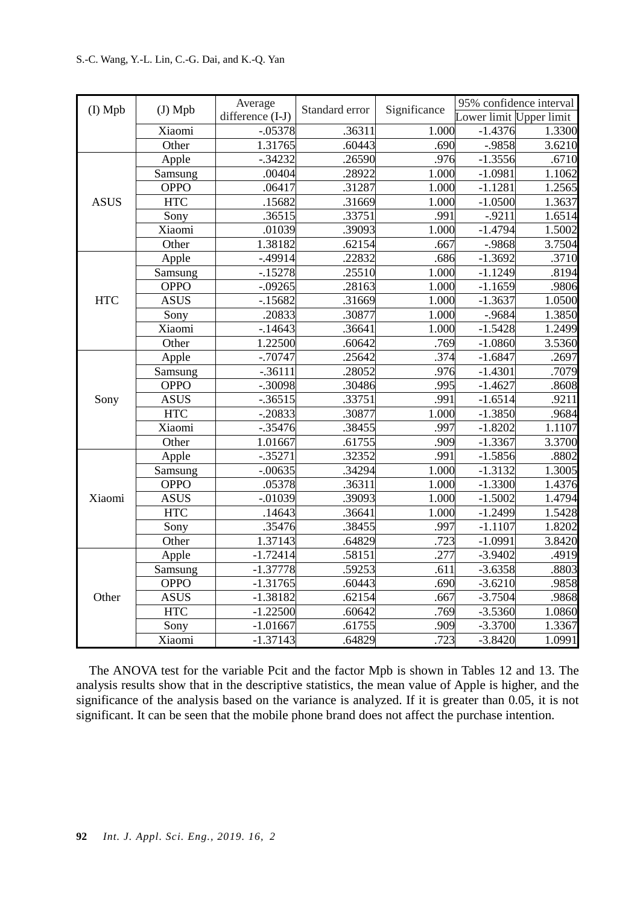| (I) Mpb     | $(J)$ Mpb   | Average          | Standard error | Significance | 95% confidence interval |        |
|-------------|-------------|------------------|----------------|--------------|-------------------------|--------|
|             |             | difference (I-J) |                |              | Lower limit Upper limit |        |
|             | Xiaomi      | $-.05378$        | .36311         | 1.000        | $-1.4376$               | 1.3300 |
|             | Other       | 1.31765          | .60443         | .690         | $-.9858$                | 3.6210 |
|             | Apple       | $-.34232$        | .26590         | .976         | $-1.3556$               | .6710  |
|             | Samsung     | .00404           | .28922         | 1.000        | $-1.0981$               | 1.1062 |
|             | <b>OPPO</b> | .06417           | .31287         | 1.000        | $-1.1281$               | 1.2565 |
| <b>ASUS</b> | <b>HTC</b>  | .15682           | .31669         | 1.000        | $-1.0500$               | 1.3637 |
|             | Sony        | .36515           | .33751         | .991         | $-.9211$                | 1.6514 |
|             | Xiaomi      | .01039           | .39093         | 1.000        | $-1.4794$               | 1.5002 |
|             | Other       | 1.38182          | .62154         | .667         | $-.9868$                | 3.7504 |
|             | Apple       | $-.49914$        | .22832         | .686         | $-1.3692$               | .3710  |
|             | Samsung     | $-15278$         | .25510         | 1.000        | $-1.1249$               | .8194  |
|             | <b>OPPO</b> | $-.09265$        | .28163         | 1.000        | $-1.1659$               | .9806  |
| <b>HTC</b>  | <b>ASUS</b> | $-15682$         | .31669         | 1.000        | $-1.3637$               | 1.0500 |
|             | Sony        | .20833           | .30877         | 1.000        | $-.9684$                | 1.3850 |
|             | Xiaomi      | $-14643$         | .36641         | 1.000        | $-1.5428$               | 1.2499 |
|             | Other       | 1.22500          | .60642         | .769         | $-1.0860$               | 3.5360 |
|             | Apple       | $-0.70747$       | .25642         | .374         | $-1.6847$               | .2697  |
|             | Samsung     | $-.36111$        | .28052         | .976         | $-1.4301$               | .7079  |
|             | <b>OPPO</b> | $-.30098$        | .30486         | .995         | $-1.4627$               | .8608  |
| Sony        | <b>ASUS</b> | $-.36515$        | .33751         | .991         | $-1.6514$               | .9211  |
|             | <b>HTC</b>  | $-.20833$        | .30877         | 1.000        | $-1.3850$               | .9684  |
|             | Xiaomi      | $-.35476$        | .38455         | .997         | $-1.8202$               | 1.1107 |
|             | Other       | 1.01667          | .61755         | .909         | $-1.3367$               | 3.3700 |
|             | Apple       | $-.35271$        | .32352         | .991         | $-1.5856$               | .8802  |
|             | Samsung     | $-0.0635$        | .34294         | 1.000        | $-1.3132$               | 1.3005 |
|             | <b>OPPO</b> | .05378           | .36311         | 1.000        | $-1.3300$               | 1.4376 |
| Xiaomi      | <b>ASUS</b> | $-.01039$        | .39093         | 1.000        | $-1.5002$               | 1.4794 |
|             | <b>HTC</b>  | .14643           | .36641         | 1.000        | $-1.2499$               | 1.5428 |
|             | Sony        | .35476           | .38455         | .997         | $-1.1107$               | 1.8202 |
|             | Other       | 1.37143          | .64829         | .723         | $-1.0991$               | 3.8420 |
| Other       | Apple       | $-1.72414$       | .58151         | .277         | $-3.9402$               | .4919  |
|             | Samsung     | $-1.37778$       | .59253         | .611         | $-3.6358$               | .8803  |
|             | <b>OPPO</b> | $-1.31765$       | .60443         | .690         | $-3.6210$               | .9858  |
|             | <b>ASUS</b> | $-1.38182$       | .62154         | .667         | $-3.7504$               | .9868  |
|             | <b>HTC</b>  | $-1.22500$       | .60642         | .769         | $-3.5360$               | 1.0860 |
|             | Sony        | $-1.01667$       | .61755         | .909         | $-3.3700$               | 1.3367 |
|             | Xiaomi      | $-1.37143$       | .64829         | .723         | $-3.8420$               | 1.0991 |

 The ANOVA test for the variable Pcit and the factor Mpb is shown in Tables 12 and 13. The analysis results show that in the descriptive statistics, the mean value of Apple is higher, and the significance of the analysis based on the variance is analyzed. If it is greater than 0.05, it is not significant. It can be seen that the mobile phone brand does not affect the purchase intention.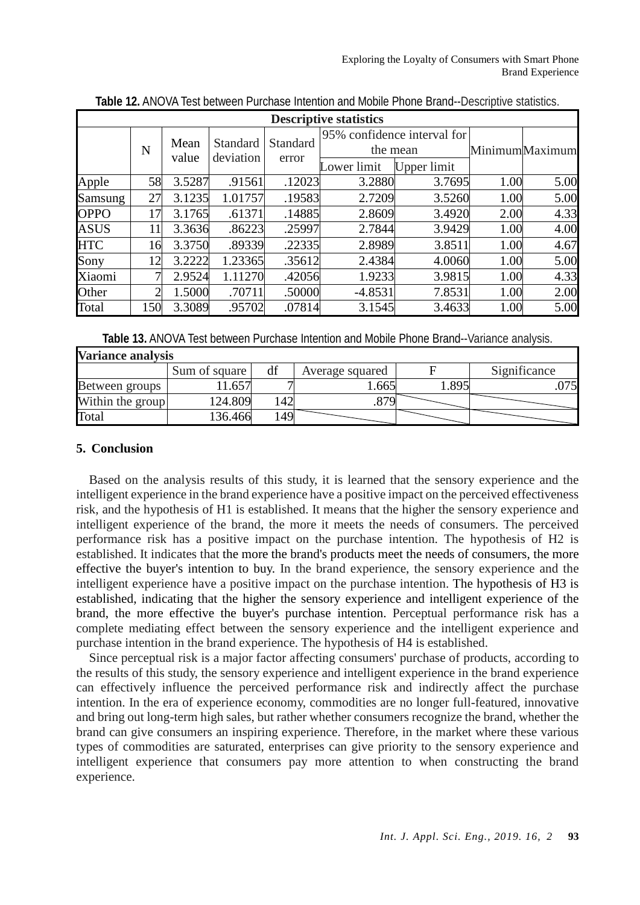| <b>Descriptive statistics</b> |           |        |           |                          |                                         |             |      |                |
|-------------------------------|-----------|--------|-----------|--------------------------|-----------------------------------------|-------------|------|----------------|
|                               | N         | Mean   | Standard  | <b>Standard</b><br>error | 95% confidence interval for<br>the mean |             |      | MinimumMaximum |
|                               |           | value  | deviation |                          | Lower limit                             | Upper limit |      |                |
| Apple                         | 58        | 3.5287 | .91561    | .12023                   | 3.2880                                  | 3.7695      | 1.00 | 5.00           |
| Samsung                       | 27        | 3.1235 | 1.01757   | .19583                   | 2.7209                                  | 3.5260      | 1.00 | 5.00           |
| <b>OPPO</b>                   | 17        | 3.1765 | .61371    | .14885                   | 2.8609                                  | 3.4920      | 2.00 | 4.33           |
| <b>ASUS</b>                   | 11        | 3.3636 | .86223    | .25997                   | 2.7844                                  | 3.9429      | 1.00 | 4.00           |
| <b>HTC</b>                    | 16        | 3.3750 | .89339    | .22335                   | 2.8989                                  | 3.8511      | 1.00 | 4.67           |
| Sony                          | 12        | 3.2222 | 1.23365   | .35612                   | 2.4384                                  | 4.0060      | 1.00 | 5.00           |
| Xiaomi                        | 7         | 2.9524 | 1.11270   | .42056                   | 1.9233                                  | 3.9815      | 1.00 | 4.33           |
| Other                         | $\bigcap$ | 1.5000 | .70711    | .50000                   | $-4.8531$                               | 7.8531      | 1.00 | 2.00           |
| Total                         | 150       | 3.3089 | .95702    | .07814                   | 3.1545                                  | 3.4633      | 1.00 | 5.00           |

**Table 12.** ANOVA Test between Purchase Intention and Mobile Phone Brand--Descriptive statistics.

**Table 13.** ANOVA Test between Purchase Intention and Mobile Phone Brand--Variance analysis.

| <b>Variance analysis</b> |               |     |                 |      |              |  |  |  |
|--------------------------|---------------|-----|-----------------|------|--------------|--|--|--|
|                          | Sum of square | df  | Average squared |      | Significance |  |  |  |
| Between groups '         | $.65-$        |     | .665            | .895 | .075         |  |  |  |
| Within the group         | 124.809       | .42 | orr             |      |              |  |  |  |
| Total                    | 136.466       | 49  |                 |      |              |  |  |  |

# **5. Conclusion**

 Based on the analysis results of this study, it is learned that the sensory experience and the intelligent experience in the brand experience have a positive impact on the perceived effectiveness risk, and the hypothesis of H1 is established. It means that the higher the sensory experience and intelligent experience of the brand, the more it meets the needs of consumers. The perceived performance risk has a positive impact on the purchase intention. The hypothesis of H2 is established. It indicates that the more the brand's products meet the needs of consumers, the more effective the buyer's intention to buy. In the brand experience, the sensory experience and the intelligent experience have a positive impact on the purchase intention. The hypothesis of H3 is established, indicating that the higher the sensory experience and intelligent experience of the brand, the more effective the buyer's purchase intention. Perceptual performance risk has a complete mediating effect between the sensory experience and the intelligent experience and purchase intention in the brand experience. The hypothesis of H4 is established.

 Since perceptual risk is a major factor affecting consumers' purchase of products, according to the results of this study, the sensory experience and intelligent experience in the brand experience can effectively influence the perceived performance risk and indirectly affect the purchase intention. In the era of experience economy, commodities are no longer full-featured, innovative and bring out long-term high sales, but rather whether consumers recognize the brand, whether the brand can give consumers an inspiring experience. Therefore, in the market where these various types of commodities are saturated, enterprises can give priority to the sensory experience and intelligent experience that consumers pay more attention to when constructing the brand experience.